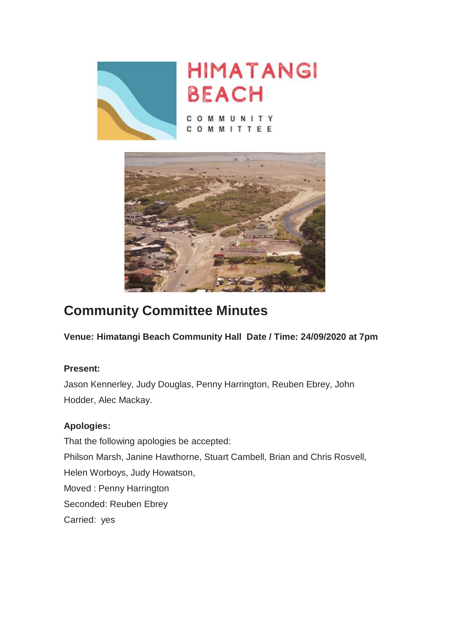



OMMUNITY TEE **M** M  $\mathsf{I}$ 



# **Community Committee Minutes**

**Venue: Himatangi Beach Community Hall Date / Time: 24/09/2020 at 7pm**

# **Present:**

Jason Kennerley, Judy Douglas, Penny Harrington, Reuben Ebrey, John Hodder, Alec Mackay.

# **Apologies:**

That the following apologies be accepted: Philson Marsh, Janine Hawthorne, Stuart Cambell, Brian and Chris Rosvell, Helen Worboys, Judy Howatson, Moved : Penny Harrington Seconded: Reuben Ebrey Carried: yes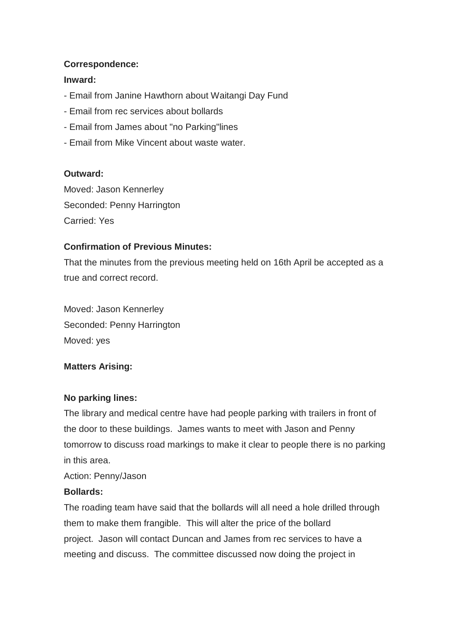#### **Correspondence:**

#### **Inward:**

- Email from Janine Hawthorn about Waitangi Day Fund
- Email from rec services about bollards
- Email from James about "no Parking"lines
- Email from Mike Vincent about waste water.

#### **Outward:**

Moved: Jason Kennerley Seconded: Penny Harrington Carried: Yes

# **Confirmation of Previous Minutes:**

That the minutes from the previous meeting held on 16th April be accepted as a true and correct record.

Moved: Jason Kennerley Seconded: Penny Harrington Moved: yes

# **Matters Arising:**

#### **No parking lines:**

The library and medical centre have had people parking with trailers in front of the door to these buildings. James wants to meet with Jason and Penny tomorrow to discuss road markings to make it clear to people there is no parking in this area.

Action: Penny/Jason

#### **Bollards:**

The roading team have said that the bollards will all need a hole drilled through them to make them frangible. This will alter the price of the bollard project. Jason will contact Duncan and James from rec services to have a meeting and discuss. The committee discussed now doing the project in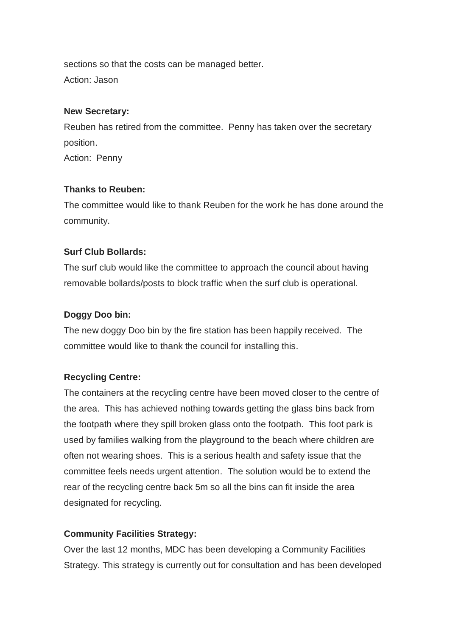sections so that the costs can be managed better. Action: Jason

#### **New Secretary:**

Reuben has retired from the committee. Penny has taken over the secretary position.

Action: Penny

# **Thanks to Reuben:**

The committee would like to thank Reuben for the work he has done around the community.

# **Surf Club Bollards:**

The surf club would like the committee to approach the council about having removable bollards/posts to block traffic when the surf club is operational.

# **Doggy Doo bin:**

The new doggy Doo bin by the fire station has been happily received. The committee would like to thank the council for installing this.

# **Recycling Centre:**

The containers at the recycling centre have been moved closer to the centre of the area. This has achieved nothing towards getting the glass bins back from the footpath where they spill broken glass onto the footpath. This foot park is used by families walking from the playground to the beach where children are often not wearing shoes. This is a serious health and safety issue that the committee feels needs urgent attention. The solution would be to extend the rear of the recycling centre back 5m so all the bins can fit inside the area designated for recycling.

# **Community Facilities Strategy:**

Over the last 12 months, MDC has been developing a Community Facilities Strategy. This strategy is currently out for consultation and has been developed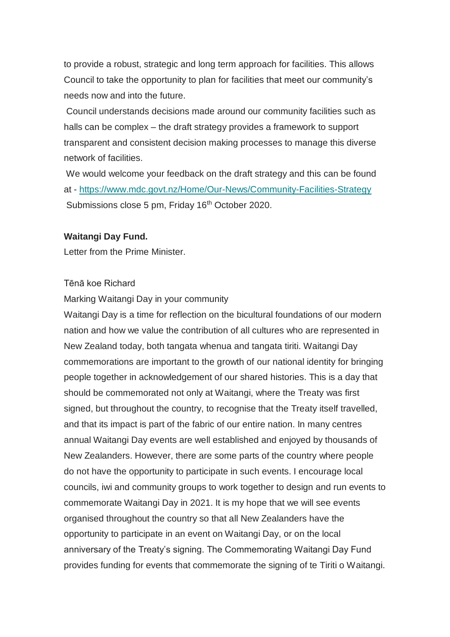to provide a robust, strategic and long term approach for facilities. This allows Council to take the opportunity to plan for facilities that meet our community's needs now and into the future.

Council understands decisions made around our community facilities such as halls can be complex – the draft strategy provides a framework to support transparent and consistent decision making processes to manage this diverse network of facilities.

We would welcome your feedback on the draft strategy and this can be found at - [https://www.mdc.govt.nz/Home/Our-News/Community-Facilities-Strategy](https://himatangibeach.us18.list-manage.com/track/click?u=1c78a1baab9e5b2d5211844df&id=68ae727ed3&e=a33be0c1f6) Submissions close 5 pm, Friday 16<sup>th</sup> October 2020.

#### **Waitangi Day Fund.**

Letter from the Prime Minister.

#### Tēnā koe Richard

Marking Waitangi Day in your community

Waitangi Day is a time for reflection on the bicultural foundations of our modern nation and how we value the contribution of all cultures who are represented in New Zealand today, both tangata whenua and tangata tiriti. Waitangi Day commemorations are important to the growth of our national identity for bringing people together in acknowledgement of our shared histories. This is a day that should be commemorated not only at Waitangi, where the Treaty was first signed, but throughout the country, to recognise that the Treaty itself travelled, and that its impact is part of the fabric of our entire nation. In many centres annual Waitangi Day events are well established and enjoyed by thousands of New Zealanders. However, there are some parts of the country where people do not have the opportunity to participate in such events. I encourage local councils, iwi and community groups to work together to design and run events to commemorate Waitangi Day in 2021. It is my hope that we will see events organised throughout the country so that all New Zealanders have the opportunity to participate in an event on Waitangi Day, or on the local anniversary of the Treaty's signing. The Commemorating Waitangi Day Fund provides funding for events that commemorate the signing of te Tiriti o Waitangi.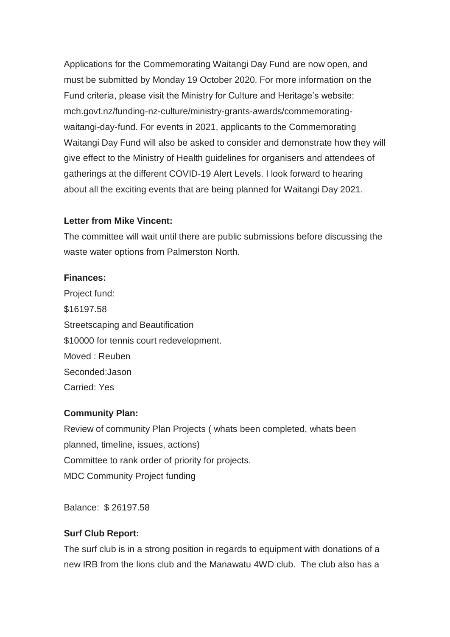Applications for the Commemorating Waitangi Day Fund are now open, and must be submitted by Monday 19 October 2020. For more information on the Fund criteria, please visit the Ministry for Culture and Heritage's website: mch.govt.nz/funding-nz-culture/ministry-grants-awards/commemoratingwaitangi-day-fund. For events in 2021, applicants to the Commemorating Waitangi Day Fund will also be asked to consider and demonstrate how they will give effect to the Ministry of Health guidelines for organisers and attendees of gatherings at the different COVID-19 Alert Levels. I look forward to hearing about all the exciting events that are being planned for Waitangi Day 2021.

#### **Letter from Mike Vincent:**

The committee will wait until there are public submissions before discussing the waste water options from Palmerston North.

#### **Finances:**

Project fund: \$16197.58 Streetscaping and Beautification \$10000 for tennis court redevelopment. Moved : Reuben Seconded:Jason Carried: Yes

#### **Community Plan:**

Review of community Plan Projects ( whats been completed, whats been planned, timeline, issues, actions) Committee to rank order of priority for projects. MDC Community Project funding

Balance: \$ 26197.58

# **Surf Club Report:**

The surf club is in a strong position in regards to equipment with donations of a new IRB from the lions club and the Manawatu 4WD club. The club also has a